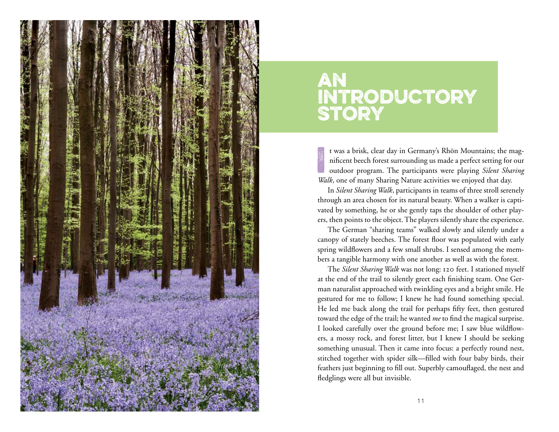

## an introductory story

t was a brisk, clear day in Germany's Rhön Mountains; the m<br>nificent beech forest surrounding us made a perfect setting for<br>outdoor program. The participants were playing *Silent Shat*<br>Walk, one of many Sharing Nature acti t was a brisk, clear day in Germany's Rhön Mountains; the magnificent beech forest surrounding us made a perfect setting for our outdoor program. The participants were playing *Silent Sharing* 

In *Silent Sharing Walk*, participants in teams of three stroll serenely through an area chosen for its natural beauty. When a walker is captivated by something, he or she gently taps the shoulder of other players, then points to the object. The players silently share the experience.

The German "sharing teams" walked slowly and silently under a canopy of stately beeches. The forest floor was populated with early spring wildflowers and a few small shrubs. I sensed among the members a tangible harmony with one another as well as with the forest.

The *Silent Sharing Walk* was not long: 120 feet. I stationed myself at the end of the trail to silently greet each finishing team. One German naturalist approached with twinkling eyes and a bright smile. He gestured for me to follow; I knew he had found something special. He led me back along the trail for perhaps fifty feet, then gestured toward the edge of the trail; he wanted *me* to find the magical surprise. I looked carefully over the ground before me; I saw blue wildflowers, a mossy rock, and forest litter, but I knew I should be seeking something unusual. Then it came into focus: a perfectly round nest, stitched together with spider silk—filled with four baby birds, their feathers just beginning to fill out. Superbly camouflaged, the nest and fledglings were all but invisible.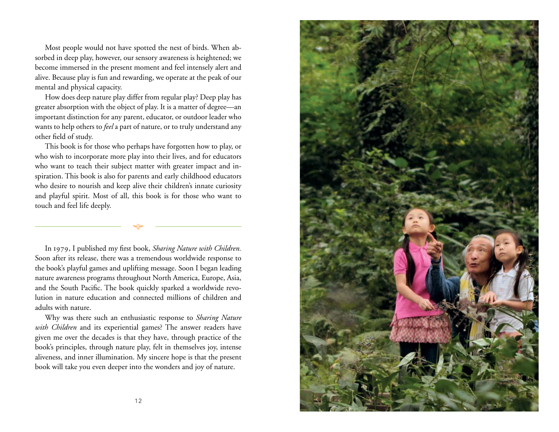Most people would not have spotted the nest of birds. When absorbed in deep play, however, our sensory awareness is heightened; we become immersed in the present moment and feel intensely alert and alive. Because play is fun and rewarding, we operate at the peak of our mental and physical capacity.

How does deep nature play differ from regular play? Deep play has greater absorption with the object of play. It is a matter of degree—an important distinction for any parent, educator, or outdoor leader who wants to help others to *feel* a part of nature, or to truly understand any other field of study.

This book is for those who perhaps have forgotten how to play, or who wish to incorporate more play into their lives, and for educators who want to teach their subject matter with greater impact and inspiration. This book is also for parents and early childhood educators who desire to nourish and keep alive their children's innate curiosity and playful spirit. Most of all, this book is for those who want to touch and feel life deeply.

In 1979, I published my first book, *Sharing Nature with Children*. Soon after its release, there was a tremendous worldwide response to the book's playful games and uplifting message. Soon I began leading nature awareness programs throughout North America, Europe, Asia, and the South Pacific. The book quickly sparked a worldwide revolution in nature education and connected millions of children and adults with nature.

**Alley** 

Why was there such an enthusiastic response to *Sharing Nature with Children* and its experiential games? The answer readers have given me over the decades is that they have, through practice of the book's principles, through nature play, felt in themselves joy, intense aliveness, and inner illumination. My sincere hope is that the present book will take you even deeper into the wonders and joy of nature.

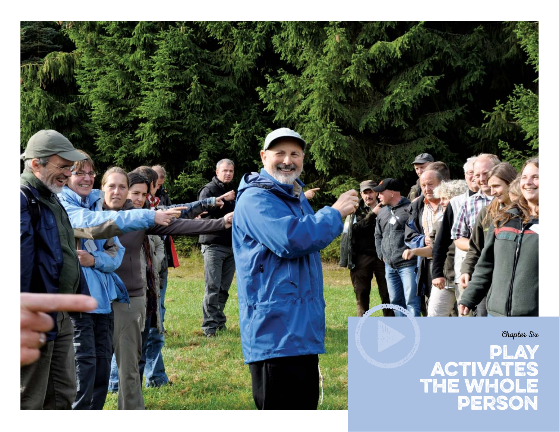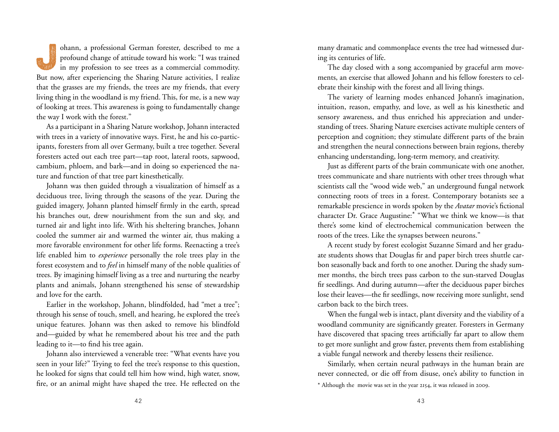Johann, a professional German forester, described to me a<br>profound change of attitude toward his work: "I was trained<br>in my profession to see trees as a commercial commodity.<br>Put name after unrating the Sharing Matter assi profound change of attitude toward his work: "I was trained in my profession to see trees as a commercial commodity. But now, after experiencing the Sharing Nature activities, I realize that the grasses are my friends, the trees are my friends, that every living thing in the woodland is my friend. This, for me, is a new way of looking at trees. This awareness is going to fundamentally change the way I work with the forest."

As a participant in a Sharing Nature workshop, Johann interacted with trees in a variety of innovative ways. First, he and his co-participants, foresters from all over Germany, built a tree together. Several foresters acted out each tree part—tap root, lateral roots, sapwood, cambium, phloem, and bark—and in doing so experienced the nature and function of that tree part kinesthetically.

Johann was then guided through a visualization of himself as a deciduous tree, living through the seasons of the year. During the guided imagery, Johann planted himself firmly in the earth, spread his branches out, drew nourishment from the sun and sky, and turned air and light into life. With his sheltering branches, Johann cooled the summer air and warmed the winter air, thus making a more favorable environment for other life forms. Reenacting a tree's life enabled him to *experience* personally the role trees play in the forest ecosystem and to *feel* in himself many of the noble qualities of trees. By imagining himself living as a tree and nurturing the nearby plants and animals, Johann strengthened his sense of stewardship and love for the earth.

Earlier in the workshop, Johann, blindfolded, had "met a tree"; through his sense of touch, smell, and hearing, he explored the tree's unique features. Johann was then asked to remove his blindfold and—guided by what he remembered about his tree and the path leading to it—to find his tree again.

Johann also interviewed a venerable tree: "What events have you seen in your life?" Trying to feel the tree's response to this question, he looked for signs that could tell him how wind, high water, snow, fire, or an animal might have shaped the tree. He reflected on the many dramatic and commonplace events the tree had witnessed during its centuries of life.

The day closed with a song accompanied by graceful arm movements, an exercise that allowed Johann and his fellow foresters to celebrate their kinship with the forest and all living things.

The variety of learning modes enhanced Johann's imagination, intuition, reason, empathy, and love, as well as his kinesthetic and sensory awareness, and thus enriched his appreciation and understanding of trees. Sharing Nature exercises activate multiple centers of perception and cognition; they stimulate different parts of the brain and strengthen the neural connections between brain regions, thereby enhancing understanding, long-term memory, and creativity.

Just as different parts of the brain communicate with one another, trees communicate and share nutrients with other trees through what scientists call the "wood wide web," an underground fungal network connecting roots of trees in a forest. Contemporary botanists see a remarkable prescience in words spoken by the *Avatar* movie's fictional character Dr. Grace Augustine:\* "What we think we know—is that there's some kind of electrochemical communication between the roots of the trees. Like the synapses between neurons."

A recent study by forest ecologist Suzanne Simard and her graduate students shows that Douglas fir and paper birch trees shuttle carbon seasonally back and forth to one another. During the shady summer months, the birch trees pass carbon to the sun-starved Douglas fir seedlings. And during autumn—after the deciduous paper birches lose their leaves—the fir seedlings, now receiving more sunlight, send carbon back to the birch trees.

When the fungal web is intact, plant diversity and the viability of a woodland community are significantly greater. Foresters in Germany have discovered that spacing trees artificially far apart to allow them to get more sunlight and grow faster, prevents them from establishing a viable fungal network and thereby lessens their resilience.

Similarly, when certain neural pathways in the human brain are never connected, or die off from disuse, one's ability to function in \* Although the movie was set in the year 2154, it was released in 2009.